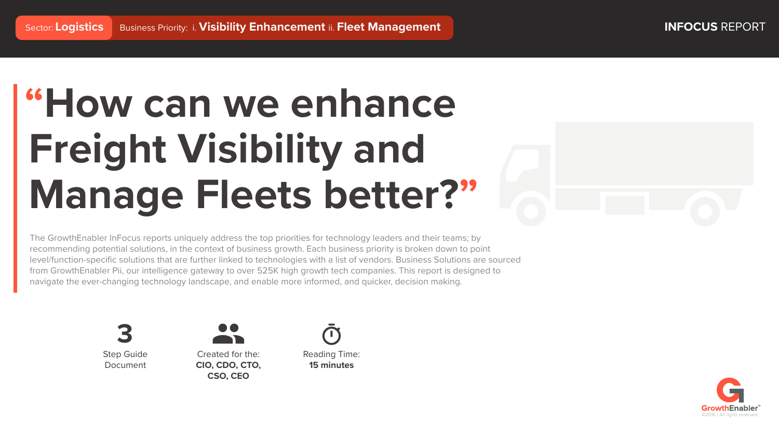# **"How can we enhance Freight Visibility and Manage Fleets better?"**

The GrowthEnabler InFocus reports uniquely address the top priorities for technology leaders and their teams; by recommending potential solutions, in the context of business growth. Each business priority is broken down to point level/function-specific solutions that are further linked to technologies with a list of vendors. Business Solutions are sourced from GrowthEnabler Pii, our intelligence gateway to over 525K high growth tech companies. This report is designed to navigate the ever-changing technology landscape, and enable more informed, and quicker, decision making.









Created for the: **CIO, CDO, CTO, CSO, CEO**

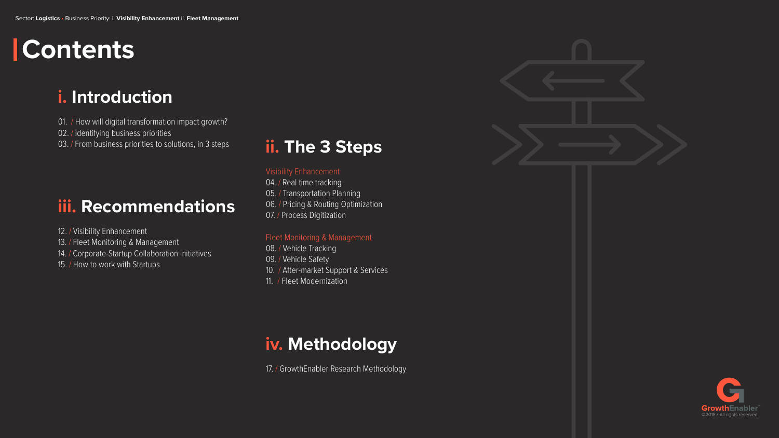## **i. Introduction**

- 01. / How will digital transformation impact growth?
- 02. / Identifying business priorities
- 03. / From business priorities to solutions, in 3 steps

## **iii. Recommendations**

- 04. / Real time tracking
- 05. / Transportation Planning
- 06. / Pricing & Routing Optimization
- 07. / Process Digitization

- 12. / Visibility Enhancement
- 13. / Fleet Monitoring & Management
- 14. / Corporate-Startup Collaboration Initiatives
- 15. / How to work with Startups

## **ii. The 3 Steps**

#### Visibility Enhancement

#### Fleet Monitoring & Management

- 08. / Vehicle Tracking
- 09. / Vehicle Safety
- 10. / After-market Support & Services
- 11. / Fleet Modernization

## **iv. Methodology**

17. / GrowthEnabler Research Methodology



# **Contents**

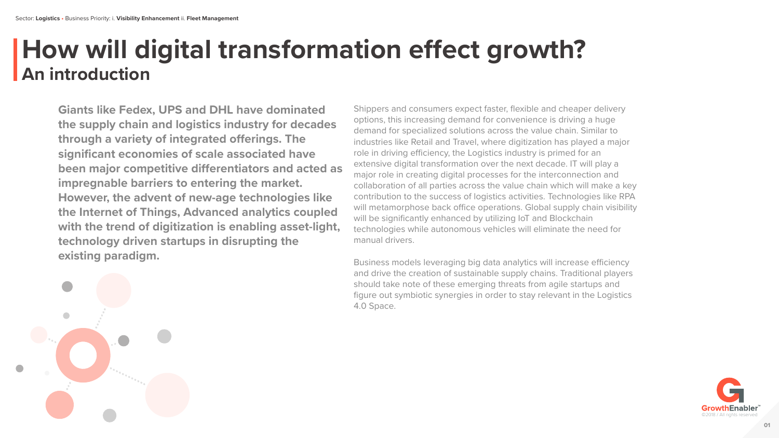**Giants like Fedex, UPS and DHL have dominated the supply chain and logistics industry for decades through a variety of integrated offerings. The significant economies of scale associated have been major competitive differentiators and acted as impregnable barriers to entering the market. However, the advent of new-age technologies like the Internet of Things, Advanced analytics coupled with the trend of digitization is enabling asset-light, technology driven startups in disrupting the existing paradigm.** 

Business models leveraging big data analytics will increase efficiency and drive the creation of sustainable supply chains. Traditional players should take note of these emerging threats from agile startups and figure out symbiotic synergies in order to stay relevant in the Logistics 4.0 Space.

## **How will digital transformation effect growth? An introduction**

Shippers and consumers expect faster, flexible and cheaper delivery options, this increasing demand for convenience is driving a huge demand for specialized solutions across the value chain. Similar to industries like Retail and Travel, where digitization has played a major role in driving efficiency, the Logistics industry is primed for an extensive digital transformation over the next decade. IT will play a major role in creating digital processes for the interconnection and collaboration of all parties across the value chain which will make a key contribution to the success of logistics activities. Technologies like RPA will metamorphose back office operations. Global supply chain visibility will be significantly enhanced by utilizing IoT and Blockchain technologies while autonomous vehicles will eliminate the need for manual drivers.

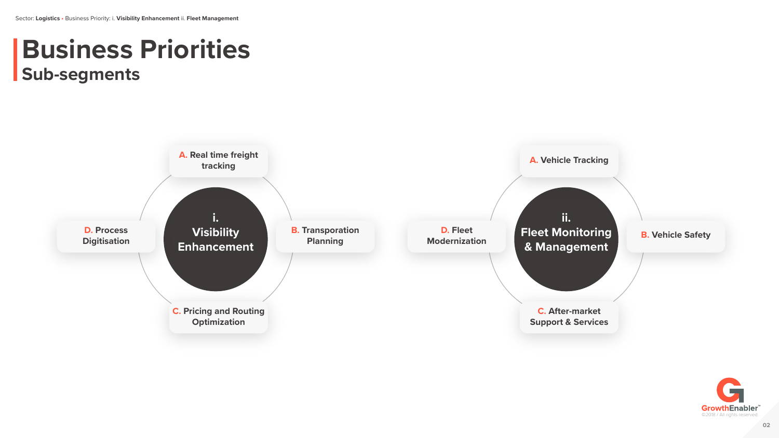# **Business Priorities Sub-segments**



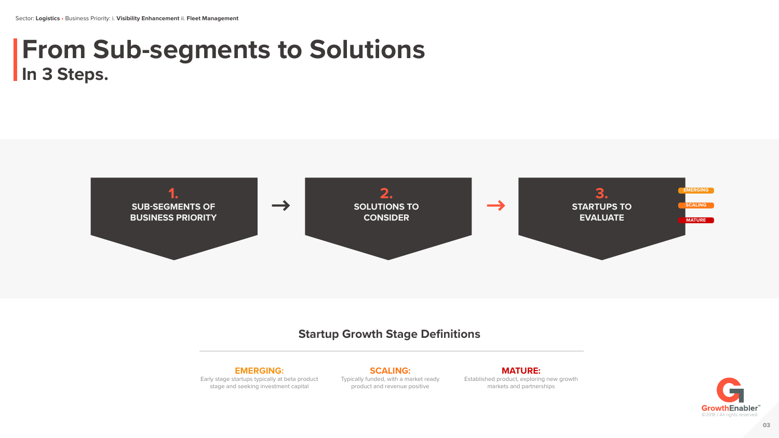## **From Sub-segments to Solutions In 3 Steps.**

#### **EMERGING:**

Early stage startups typically at beta product stage and seeking investment capital

**SCALING:** Typically funded, with a market ready product and revenue positive

**MATURE:** Established product, exploring new growth markets and partnerships

## **Startup Growth Stage Definitions**





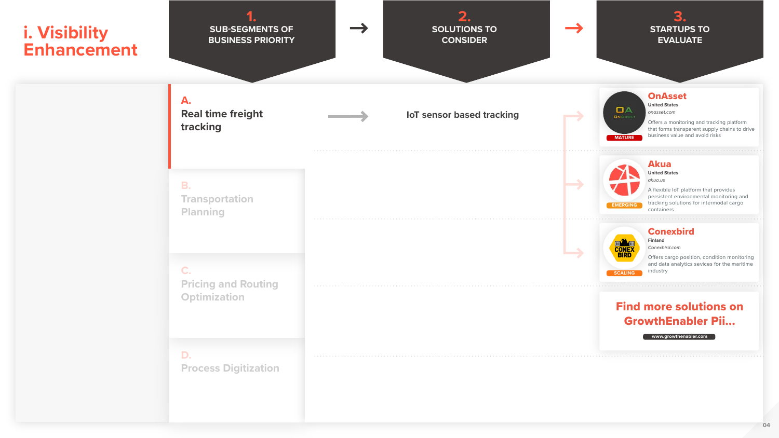







**OnAsset** 

**United States** *onasset.com*

Offers a monitoring and tracking platform that forms transparent supply chains to drive **MATURE** business value and avoid risks

> Offers cargo position, condition monitoring and data analytics sevices for the maritime industry

Akua

**United States** *akua.us*

A flexible IoT platform that provides persistent environmental monitoring and tracking solutions for intermodal cargo containers



**Finland** *Conexbird.com*

### Find more solutions on GrowthEnabler Pii...

**www.growthenabler.com**



#### **Conexbird**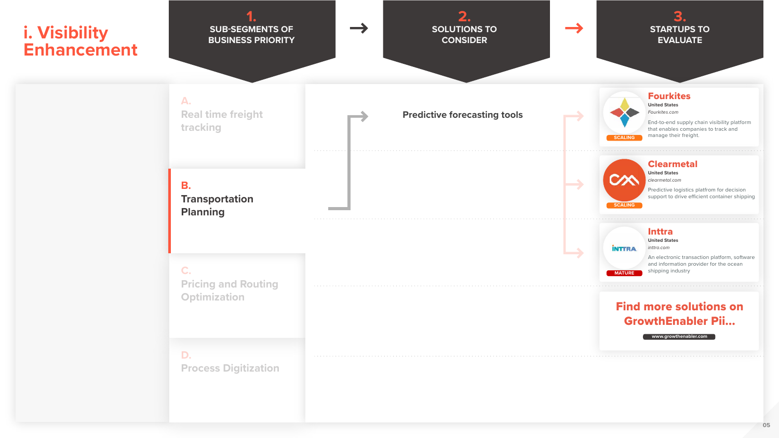



End-to-end supply chain visibility platform that enables companies to track and manage their freight.

Predictive logistics platfrom for decision support to drive efficient container shipping







#### **Fourkites**

**United States** *Fourkites.com*

#### Clearmetal

**United States** *clearmetal.com*



Inttra

**United States** *inttra.com*

An electronic transaction platform, software and information provider for the ocean **MATURE** shipping industry

#### Find more solutions on GrowthEnabler Pii...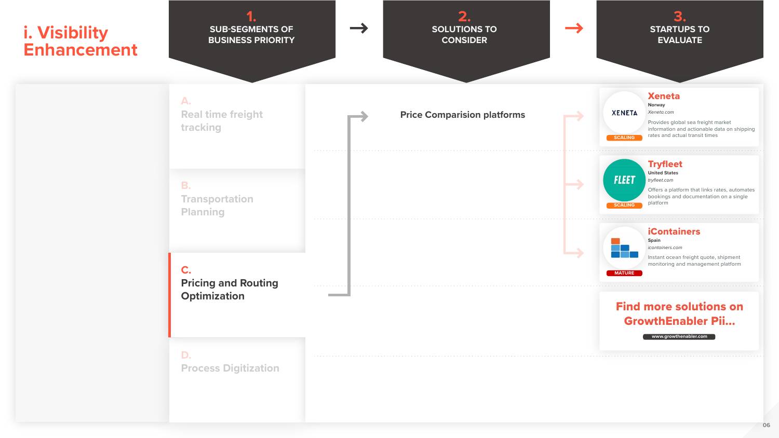



Provides global sea freight market information and actionable data on shipping **SCALING** rates and actual transit times



Offers a platform that links rates, automates bookings and documentation on a single

#### Xeneta

**Norway** *Xeneta.com*

**United States** *tryfleet.com*



**XENETA** 

#### **Tryfleet**

#### iContainers

**Spain** *icontainers.com*

Instant ocean freight quote, shipment monitoring and management platform



## Find more solutions on GrowthEnabler Pii...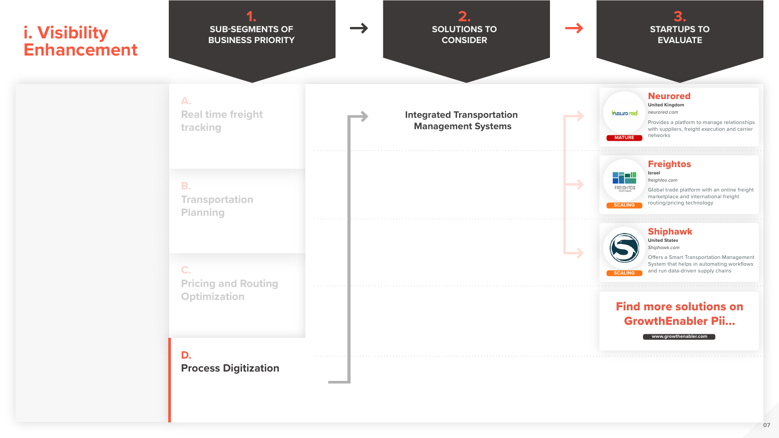



Global trade platform with an online freight marketplace and international freight **SCALING CONTAING CONTAING CONTAING SCALING CONTAING SCALING CONTAIN** 





#### Neurored

**United Kingdom** *neurored.com*

Provides a platform to manage relationships with suppliers, freight execution and carrier networks



**Israel** *freightos.com*

#### Shiphawk

**United States** *Shiphawk.com*

Offers a Smart Transportation Management System that helps in automating workflows **SCALING** and run data-driven supply chains

### Find more solutions on GrowthEnabler Pii...

**www.growthenabler.com**

**MATURE**

**Heuro red** 

#### **Freightos**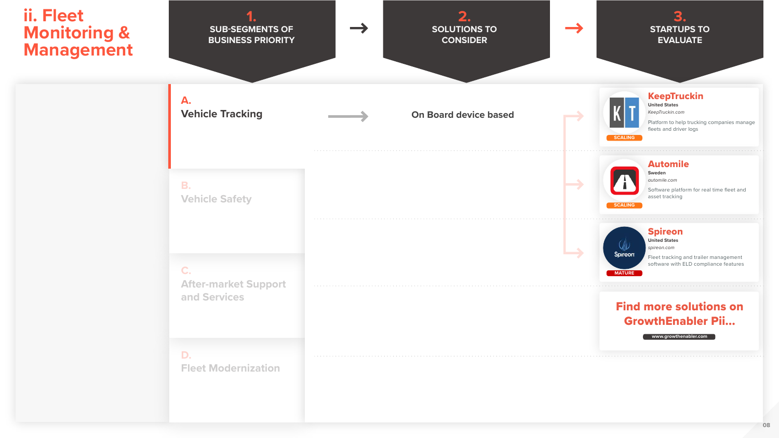







#### KeepTruckin

**United States** *KeepTruckin.com*

Platform to help trucking companies manage fleets and driver logs



#### Automile

**Sweden** *automile.com*

Software platform for real time fleet and asset tracking



#### Spireon **United States**

*spireon.com*

Fleet tracking and trailer management software with ELD compliance features



### Find more solutions on GrowthEnabler Pii...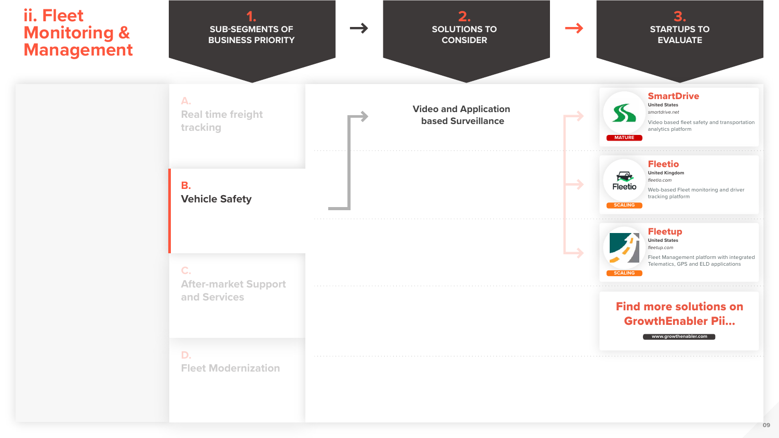

**United States** *smartdrive.net*

Video based fleet safety and transportation analytics platform







**SmartDrive** 

#### Fleetio

**United Kingdom** *fleetio.com*

Web-based Fleet monitoring and driver tracking platform



#### Fleetup

**United States** *fleetup.com*

Fleet Management platform with integrated Telematics, GPS and ELD applications



### Find more solutions on GrowthEnabler Pii...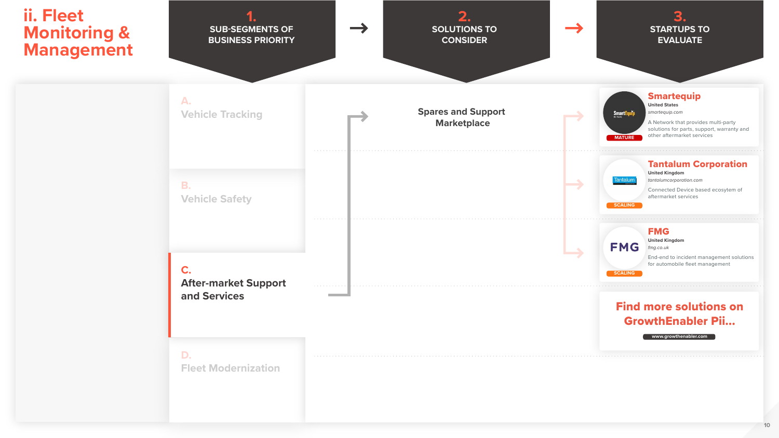A Network that provides multi-party solutions for parts, support, warranty and **MATURE** other aftermarket services





#### **Smartequip**

**United States** *smartequip.com*





#### Tantalum Corporation



**United Kingdom** *tantalumcorporation.com*

Connected Device based ecosytem of aftermarket services

#### **FMG**

**SCALING**

**United Kingdom** *fmg.co.uk*

End-end to incident management solutions for automobile fleet management

### Find more solutions on GrowthEnabler Pii...

**www.growthenabler.com**

**SCALING**

**FMG**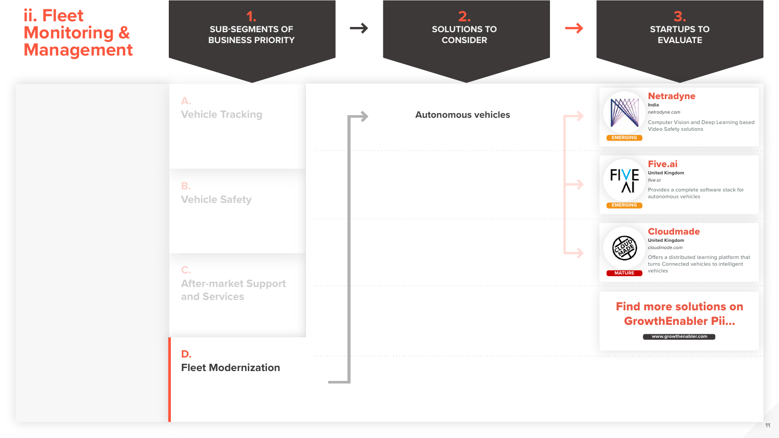

#### Netradyne

**India** *netradyne.com*

Offers a distributed learning platform that turns Connected vehicles to intelligent

Computer Vision and Deep Learning based Video Safety solutions



#### Five.ai





**United Kingdom** *five.ai*

Provides a complete software stack for autonomous vehicles



#### Cloudmade

**United Kingdom** *cloudmade.com*



#### Find more solutions on GrowthEnabler Pii...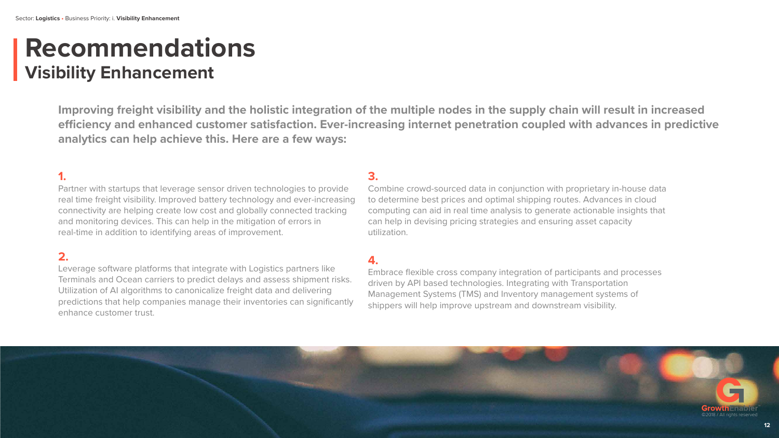## **Recommendations Visibility Enhancement**

**Improving freight visibility and the holistic integration of the multiple nodes in the supply chain will result in increased**  efficiency and enhanced customer satisfaction. Ever-increasing internet penetration coupled with advances in predictive **analytics can help achieve this. Here are a few ways:**

## **1.**

Partner with startups that leverage sensor driven technologies to provide real time freight visibility. Improved battery technology and ever-increasing connectivity are helping create low cost and globally connected tracking and monitoring devices. This can help in the mitigation of errors in real-time in addition to identifying areas of improvement.

#### **2.**

Leverage software platforms that integrate with Logistics partners like Terminals and Ocean carriers to predict delays and assess shipment risks. Utilization of AI algorithms to canonicalize freight data and delivering predictions that help companies manage their inventories can significantly enhance customer trust.

#### **3.**

Combine crowd-sourced data in conjunction with proprietary in-house data to determine best prices and optimal shipping routes. Advances in cloud computing can aid in real time analysis to generate actionable insights that can help in devising pricing strategies and ensuring asset capacity utilization.

#### **4.**

Embrace flexible cross company integration of participants and processes driven by API based technologies. Integrating with Transportation Management Systems (TMS) and Inventory management systems of shippers will help improve upstream and downstream visibility.

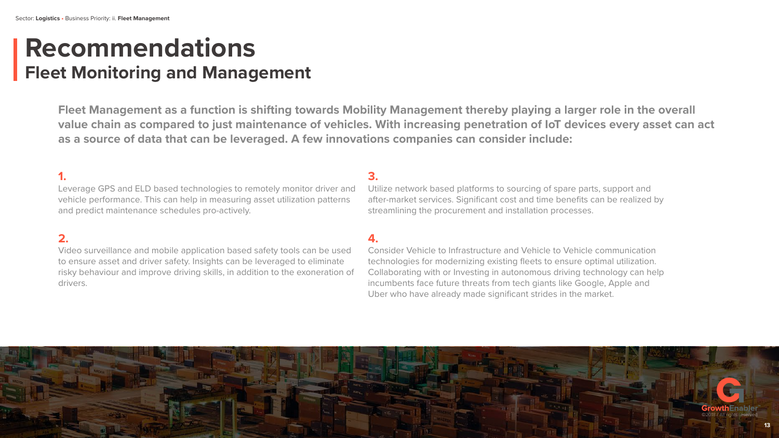## **Recommendations Fleet Monitoring and Management**

**Fleet Management as a function is shifting towards Mobility Management thereby playing a larger role in the overall value chain as compared to just maintenance of vehicles. With increasing penetration of IoT devices every asset can act as a source of data that can be leveraged. A few innovations companies can consider include:**

#### **1.**

Leverage GPS and ELD based technologies to remotely monitor driver and vehicle performance. This can help in measuring asset utilization patterns and predict maintenance schedules pro-actively.

#### **2.**

Video surveillance and mobile application based safety tools can be used to ensure asset and driver safety. Insights can be leveraged to eliminate risky behaviour and improve driving skills, in addition to the exoneration of drivers.

#### **3.**

Utilize network based platforms to sourcing of spare parts, support and after-market services. Significant cost and time benefits can be realized by streamlining the procurement and installation processes.

#### **4.**

Consider Vehicle to Infrastructure and Vehicle to Vehicle communication technologies for modernizing existing fleets to ensure optimal utilization. Collaborating with or Investing in autonomous driving technology can help incumbents face future threats from tech giants like Google, Apple and Uber who have already made significant strides in the market.

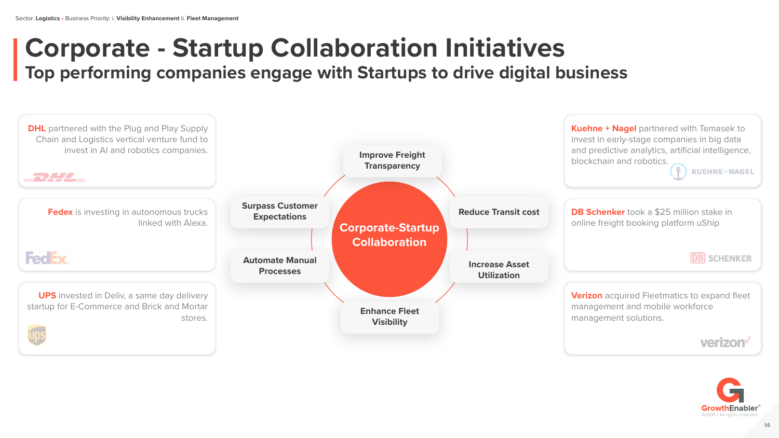**DB Schenker** took a \$25 million stake in online freight booking platform uShip

## **Corporate - Startup Collaboration Initiatives Top performing companies engage with Startups to drive digital business**

**Kuehne + Nagel** partnered with Temasek to invest in early-stage companies in big data and predictive analytics, artificial intelligence, blockchain and robotics.



**Verizon** acquired Fleetmatics to expand fleet management and mobile workforce management solutions.



**KUEHNE+NAGEL** 

**DB** SCHENKER

verizon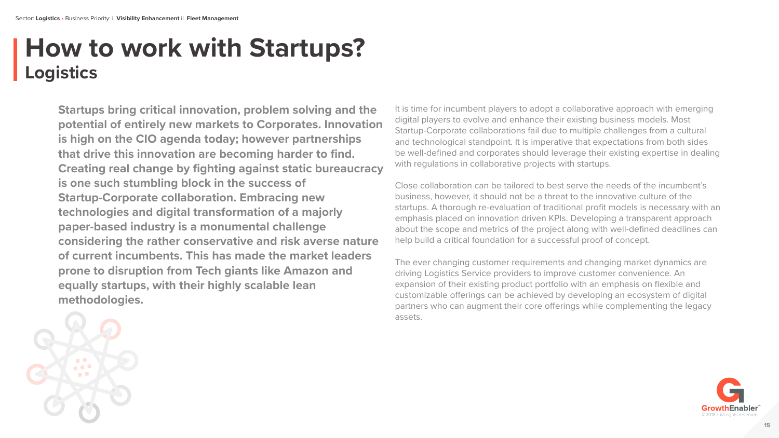# **How to work with Startups? Logistics**

**Startups bring critical innovation, problem solving and the potential of entirely new markets to Corporates. Innovation is high on the CIO agenda today; however partnerships that drive this innovation are becoming harder to find. Creating real change by fighting against static bureaucracy is one such stumbling block in the success of Startup-Corporate collaboration. Embracing new technologies and digital transformation of a majorly paper-based industry is a monumental challenge considering the rather conservative and risk averse nature of current incumbents. This has made the market leaders prone to disruption from Tech giants like Amazon and equally startups, with their highly scalable lean methodologies.**

It is time for incumbent players to adopt a collaborative approach with emerging digital players to evolve and enhance their existing business models. Most Startup-Corporate collaborations fail due to multiple challenges from a cultural and technological standpoint. It is imperative that expectations from both sides be well-defined and corporates should leverage their existing expertise in dealing with regulations in collaborative projects with startups.

Close collaboration can be tailored to best serve the needs of the incumbent's business, however, it should not be a threat to the innovative culture of the startups. A thorough re-evaluation of traditional profit models is necessary with an emphasis placed on innovation driven KPIs. Developing a transparent approach about the scope and metrics of the project along with well-defined deadlines can help build a critical foundation for a successful proof of concept.

The ever changing customer requirements and changing market dynamics are driving Logistics Service providers to improve customer convenience. An expansion of their existing product portfolio with an emphasis on flexible and customizable offerings can be achieved by developing an ecosystem of digital partners who can augment their core offerings while complementing the legacy assets.



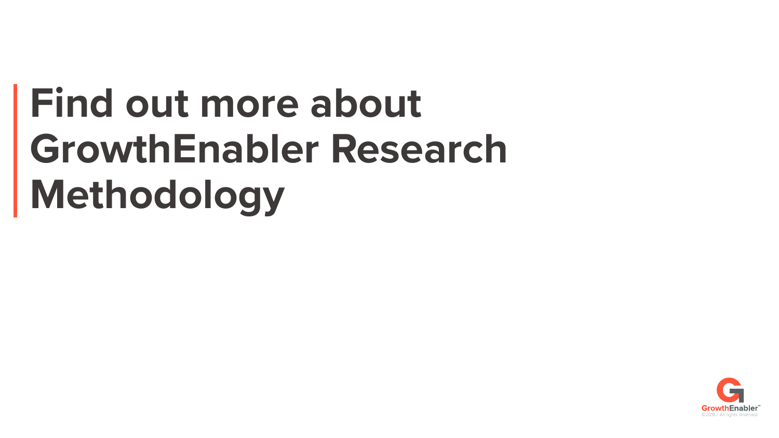# **Find out more about GrowthEnabler Research Methodology**

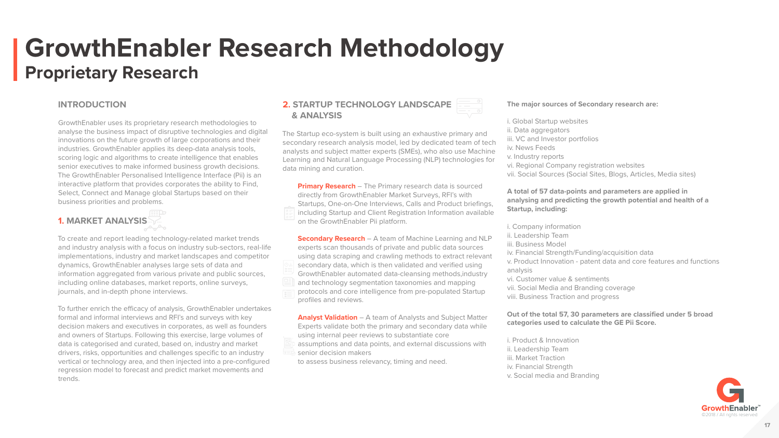#### **INTRODUCTION**

GrowthEnabler uses its proprietary research methodologies to analyse the business impact of disruptive technologies and digital innovations on the future growth of large corporations and their industries. GrowthEnabler applies its deep-data analysis tools, scoring logic and algorithms to create intelligence that enables senior executives to make informed business growth decisions. The GrowthEnabler Personalised Intelligence Interface (Pii) is an interactive platform that provides corporates the ability to Find, Select, Connect and Manage global Startups based on their business priorities and problems.

#### **1. MARKET ANALYSIS**

To further enrich the efficacy of analysis, GrowthEnabler undertakes formal and informal interviews and RFI's and surveys with key decision makers and executives in corporates, as well as founders and owners of Startups. Following this exercise, large volumes of data is categorised and curated, based on, industry and market drivers, risks, opportunities and challenges specific to an industry vertical or technology area, and then injected into a pre-configured regression model to forecast and predict market movements and trends.

To create and report leading technology-related market trends and industry analysis with a focus on industry sub-sectors, real-life implementations, industry and market landscapes and competitor dynamics, GrowthEnabler analyses large sets of data and information aggregated from various private and public sources, including online databases, market reports, online surveys,

journals, and in-depth phone interviews.

**Primary Research** – The Primary research data is sourced directly from GrowthEnabler Market Surveys, RFI's with Startups, One-on-One Interviews, Calls and Product briefings, including Startup and Client Registration Information available on the GrowthEnabler Pii platform.

#### **2. STARTUP TECHNOLOGY LANDSCAPE & ANALYSIS**



**Secondary Research** – A team of Machine Learning and NLP experts scan thousands of private and public data sources using data scraping and crawling methods to extract relevant secondary data, which is then validated and verified using GrowthEnabler automated data-cleansing methods,industry and technology segmentation taxonomies and mapping protocols and core intelligence from pre-populated Startup profiles and reviews.

**Analyst Validation** – A team of Analysts and Subject Matter Experts validate both the primary and secondary data while using internal peer reviews to substantiate core assumptions and data points, and external discussions with

senior decision makers

to assess business relevancy, timing and need.

#### **The major sources of Secondary research are:**

ii. Data aggregators iv. News Feeds v. Industry reports

#### **A total of 57 data-points and parameters are applied in analysing and predicting the growth potential and health of a Startup, including:**

- i. Global Startup websites
	-
- iii. VC and Investor portfolios
	-
	-
- vi. Regional Company registration websites
- vii. Social Sources (Social Sites, Blogs, Articles, Media sites)
	-
	-
	-
- iv. Financial Strength/Funding/acquisition data
- v. Product Innovation patent data and core features and functions
- vi. Customer value & sentiments vii. Social Media and Branding coverage viii. Business Traction and progress

i. Company information ii. Leadership Team

iii. Business Model

analysis

**Out of the total 57, 30 parameters are classified under 5 broad categories used to calculate the GE Pii Score.**

- i. Product & Innovation
- ii. Leadership Team
- iii. Market Traction
- iv. Financial Strength

v. Social media and Branding

## **GrowthEnabler Research Methodology Proprietary Research**